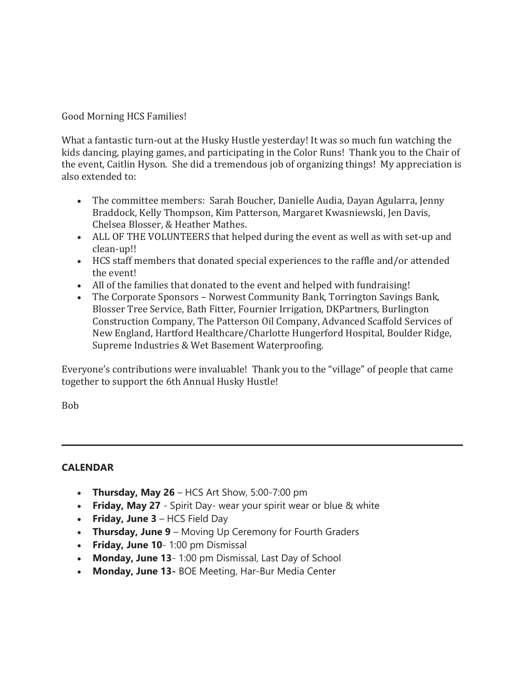Good Morning HCS Families!

What a fantastic turn-out at the Husky Hustle yesterday! It was so much fun watching the kids dancing, playing games, and participating in the Color Runs! Thank you to the Chair of the event, Caitlin Hyson. She did a tremendous job of organizing things! My appreciation is also extended to:

- The committee members: Sarah Boucher, Danielle Audia, Dayan Agularra, Jenny Braddock, Kelly Thompson, Kim Patterson, Margaret Kwasniewski, Jen Davis, Chelsea Blosser, & Heather Mathes.
- ALL OF THE VOLUNTEERS that helped during the event as well as with set-up and clean-up!!
- HCS staff members that donated special experiences to the raffle and/or attended the event!
- All of the families that donated to the event and helped with fundraising!
- The Corporate Sponsors Norwest Community Bank, Torrington Savings Bank, Blosser Tree Service, Bath Fitter, Fournier Irrigation, DKPartners, Burlington Construction Company, The Patterson Oil Company, Advanced Scaffold Services of New England, Hartford Healthcare/Charlotte Hungerford Hospital, Boulder Ridge, Supreme Industries & Wet Basement Waterproofing.

Everyone's contributions were invaluable! Thank you to the "village" of people that came together to support the 6th Annual Husky Hustle!

Bob

#### **CALENDAR**

- **Thursday, May 26** HCS Art Show, 5:00-7:00 pm
- **Friday, May 27** Spirit Day- wear your spirit wear or blue & white
- **Friday, June 3** HCS Field Day
- **Thursday, June 9** Moving Up Ceremony for Fourth Graders
- **Friday, June 10** 1:00 pm Dismissal
- **Monday, June 13** 1:00 pm Dismissal, Last Day of School
- **Monday, June 13-** BOE Meeting, Har-Bur Media Center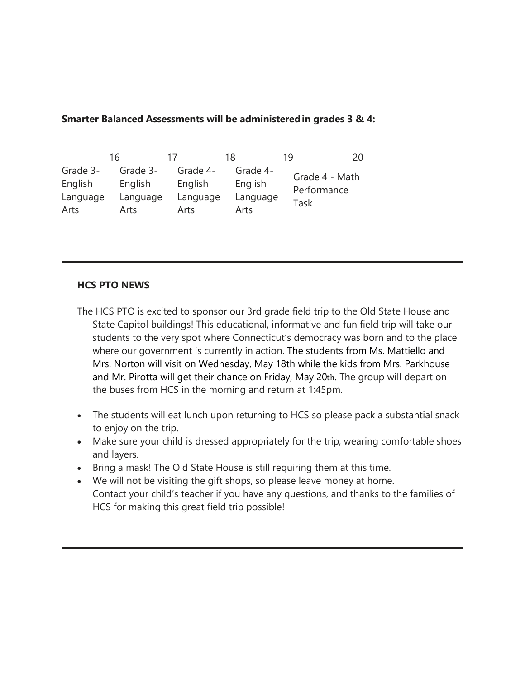### **Smarter Balanced Assessments will be administered in grades 3 & 4:**

|          | 16       | 17       | 18       | 20<br>19                              |
|----------|----------|----------|----------|---------------------------------------|
| Grade 3- | Grade 3- | Grade 4- | Grade 4- | Grade 4 - Math<br>Performance<br>Task |
| English  | English  | English  | English  |                                       |
| Language | Language | Language | Language |                                       |
| Arts     | Arts     | Arts     | Arts     |                                       |

## **HCS PTO NEWS**

- The HCS PTO is excited to sponsor our 3rd grade field trip to the Old State House and State Capitol buildings! This educational, informative and fun field trip will take our students to the very spot where Connecticut's democracy was born and to the place where our government is currently in action. The students from Ms. Mattiello and Mrs. Norton will visit on Wednesday, May 18th while the kids from Mrs. Parkhouse and Mr. Pirotta will get their chance on Friday, May 20th. The group will depart on the buses from HCS in the morning and return at 1:45pm.
- The students will eat lunch upon returning to HCS so please pack a substantial snack to enjoy on the trip.
- Make sure your child is dressed appropriately for the trip, wearing comfortable shoes and layers.
- Bring a mask! The Old State House is still requiring them at this time.
- We will not be visiting the gift shops, so please leave money at home. Contact your child's teacher if you have any questions, and thanks to the families of HCS for making this great field trip possible!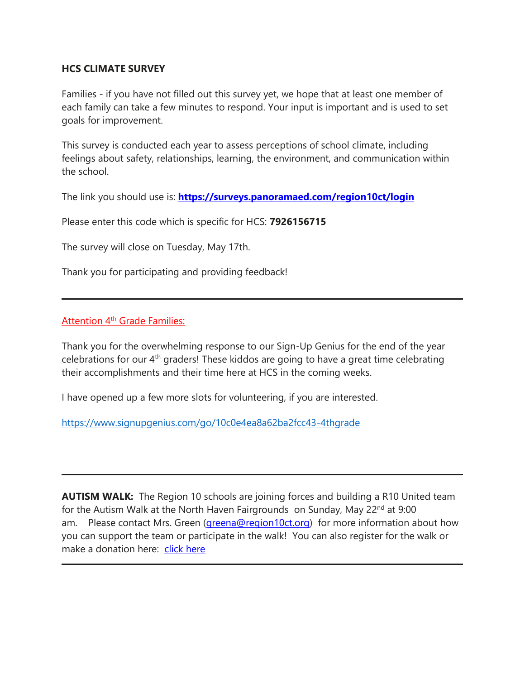#### **HCS CLIMATE SURVEY**

Families - if you have not filled out this survey yet, we hope that at least one member of each family can take a few minutes to respond. Your input is important and is used to set goals for improvement.

This survey is conducted each year to assess perceptions of school climate, including feelings about safety, relationships, learning, the environment, and communication within the school.

The link you should use is: **[https://surveys.panoramaed.com/region10ct/login](http://track.spe.schoolmessenger.com/f/a/6JMFSFsSmlVkx9MvO3l01g~~/AAAAAQA~/RgRkYhDAP4S_AWh0dHA6Ly90cmFjay5zcGUuc2Nob29sbWVzc2VuZ2VyLmNvbS9mL2EvRE5kZHg0UjhiZ0lOVkFQaGxFUjFaQX5-L0FBQUFBUUF-L1JnUmtXTlpEUDBUYmFIUjBjRG92TDNSeVlXTnJMbk53WlM1elkyaHZiMnh0WlhOelpXNW5aWEl1WTI5dEwyWXZZUzlJWlZaRE0yOUdNbmx3ZFY5M1IzUndWMEV0VTNSQmZuNHZRVUZCUVVGUlFYNHZVbWRTYTFWUWRIUlFNRkYyWVVoU01HTklUVFpNZVRsNlpGaEtNbHBZYkhwTWJrSm9ZbTA1ZVZsWE1XaGFWMUYxV1RJNWRFd3pTbXhhTW14MlltcEZkMWt6VVhaaVJ6bHVZVmMxV0VJelRtcGhSemwyWWtjeFEwTnRTbWczWTJSMldYTkhlbVZxUmxOR1dFcDJZbGRXZG1SRlFubGFWMlJ3WWpJMGVFMUhUakJNYlRsNVdqRm5SVUZCUVVGQlVYNS1Wd2R6WTJodmIyeHRRZ3BpYjhPaWQyTDZZOUplVWhWeWIyMWxiM1JBY21WbmFXOXVNVEJqZEM1dmNtZFlCQUFBQUFFflcHc2Nob29sbUIKYnlA3YBiY7qTE1IZYmFsbGVyaW5pYUByZWdpb24xMGN0Lm9yZ1gEAAAAAQ~~)**

Please enter this code which is specific for HCS: **7926156715**

The survey will close on Tuesday, May 17th.

Thank you for participating and providing feedback!

#### Attention 4<sup>th</sup> Grade Families:

Thank you for the overwhelming response to our Sign-Up Genius for the end of the year celebrations for our 4<sup>th</sup> graders! These kiddos are going to have a great time celebrating their accomplishments and their time here at HCS in the coming weeks.

I have opened up a few more slots for volunteering, if you are interested.

[https://www.signupgenius.com/go/10c0e4ea8a62ba2fcc43-4thgrade](http://track.spe.schoolmessenger.com/f/a/dPyLi_dEKWjQ8wB5ZxnkDQ~~/AAAAAQA~/RgRkYhDAP0Q9aHR0cHM6Ly93d3cuc2lnbnVwZ2VuaXVzLmNvbS9nby8xMGMwZTRlYThhNjJiYTJmY2M0My00dGhncmFkZVcHc2Nob29sbUIKYnlA3YBiY7qTE1IZYmFsbGVyaW5pYUByZWdpb24xMGN0Lm9yZ1gEAAAAAQ~~)

**AUTISM WALK:** The Region 10 schools are joining forces and building a R10 United team for the Autism Walk at the North Haven Fairgrounds on Sunday, May 22<sup>nd</sup> at 9:00 am. Please contact Mrs. Green (*greena@region10ct.org*) for more information about how you can support the team or participate in the walk! You can also register for the walk or make a donation here: [click](http://track.spe.schoolmessenger.com/f/a/NkiBLxC_eukFOtUMmiN2ug~~/AAAAAQA~/RgRkYhDAP0TnaHR0cDovL3RyYWNrLnNwZS5zY2hvb2xtZXNzZW5nZXIuY29tL2YvYS9JRmJ4dWpxbi1YelBWUUhLcGduM2x3fn4vQUFBQUFRQX4vUmdSa1dOWkRQMFE2YUhSMGNITTZMeTl3TW5BdWIyNWxZMkYxYzJVdVkyOXRMM2RoYkd0bWIzSmhkWFJwYzIweU1ESXlMM1JsWVcwdmNqRXdMWFZ1YVhSbFpGY0hjMk5vYjI5c2JVSUtZbV9Eb25kaS1tUFNYbElWY205dFpXOTBRSEpsWjJsdmJqRXdZM1F1YjNKbldBUUFBQUFCVwdzY2hvb2xtQgpieUDdgGJjupMTUhliYWxsZXJpbmlhQHJlZ2lvbjEwY3Qub3JnWAQAAAAB) here